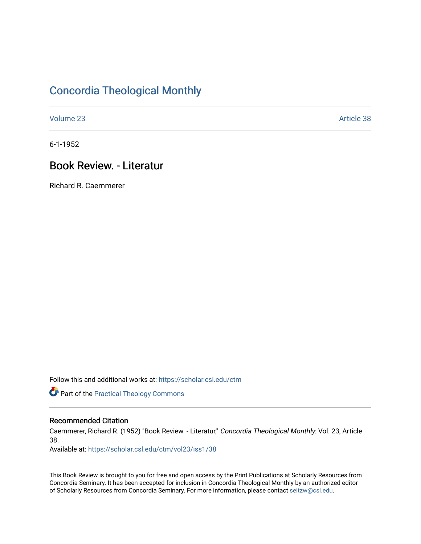# [Concordia Theological Monthly](https://scholar.csl.edu/ctm)

[Volume 23](https://scholar.csl.edu/ctm/vol23) Article 38

6-1-1952

# Book Review. - Literatur

Richard R. Caemmerer

Follow this and additional works at: [https://scholar.csl.edu/ctm](https://scholar.csl.edu/ctm?utm_source=scholar.csl.edu%2Fctm%2Fvol23%2Fiss1%2F38&utm_medium=PDF&utm_campaign=PDFCoverPages)

**Part of the [Practical Theology Commons](http://network.bepress.com/hgg/discipline/1186?utm_source=scholar.csl.edu%2Fctm%2Fvol23%2Fiss1%2F38&utm_medium=PDF&utm_campaign=PDFCoverPages)** 

### Recommended Citation

Caemmerer, Richard R. (1952) "Book Review. - Literatur," Concordia Theological Monthly: Vol. 23, Article 38.

Available at: [https://scholar.csl.edu/ctm/vol23/iss1/38](https://scholar.csl.edu/ctm/vol23/iss1/38?utm_source=scholar.csl.edu%2Fctm%2Fvol23%2Fiss1%2F38&utm_medium=PDF&utm_campaign=PDFCoverPages) 

This Book Review is brought to you for free and open access by the Print Publications at Scholarly Resources from Concordia Seminary. It has been accepted for inclusion in Concordia Theological Monthly by an authorized editor of Scholarly Resources from Concordia Seminary. For more information, please contact [seitzw@csl.edu](mailto:seitzw@csl.edu).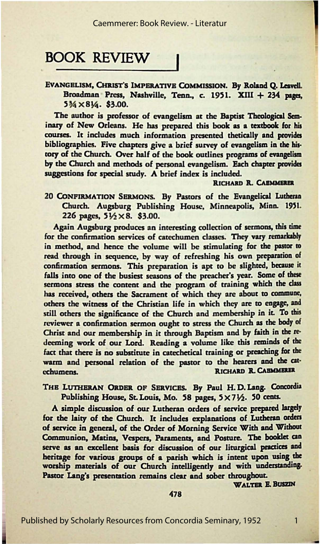## **BOOK REVIEW**

EVANGELISM, CHRIST'S IMPERATIVE COMMISSION. By Roland Q. Leavell. Broadman Press, Nashville, Tenn., c. 1951. XIII + 234 pages, 5¾ XS¼. \$3.00.

The author is professor of evangelism at the Baptist Theological Seminary of New Orleans. He has prepared this book as a textbook for his courses. It includes much information presented tbetically and provides bibliographies. Five chapters give a brief survey of evangelism **in the** history of the Church. Over half of *the* book outlines programs of evangelism by the Church and methods of personal evangelism. Each chapter provides suggestions for special study. A brief index is included.

#### RICHARD **R. CAEMMERER**

20 CONFIRMATION SERMONS. By Pastors of the Evangelical Lutheran Church. Augsburg Publishing House, Minneapolis, Minn. 1951. 226 pages,  $5\frac{1}{2} \times 8$ . \$3.00.

Again Augsburg produces an interesting collection of sermons, this time for the confirmation services of catechumen classes. They vary remarkably in method, and hence the volume will be stimulating for the pastor to read through in sequence, by way of refreshing his own preparation of confirmation sermons. This preparation is apt to be slighted, because it falls into one of the busiest seasons of the preacher's year. Some of these sermons stress the content and the program of training which the class bas received, others the Sacrament of which they arc about to commune, others the wimess of the Christian life in which they are to **engage, and**  still others the significance of the Church and membership in it. To this reviewer a confirmation sermon ought to sucss the Church **as** *the* body ol Christ and our membership in it through Baptism and by faith in the redeeming work of our Lord. Reading a volume like this reminds of the fact that there is no substitute in catechetical training or preaching for the warm and personal relation of the pastor to the hearers and the cat-<br>• RICHARD R. CAEMMERER RICHARD R. CABMMERER

### THE LUTHERAN ORDER OF SERVICES. By Paul H.D. Lang. Concordia Publishing House, St. Louis, Mo. 58 pages, 5×71/2. 50 cents.

A simple discussion of our Lutheran orders of service prepared largely for the laity of the Church. It includes explanations of Lutheran orders of service in general, of the Order of Morning Service With and Without Communion, Matins, Vespers, Paraments, and Posture. The booklet can serve as an excellent basis for discussion of our liturgical practices and heritage for various groups of **a** parish which is intent upon using the worship materials of our Church intelligently and with understanding. Pascor Lang's presentation remains clear and sober throughout.

WALTER E. BUSZIN

478

1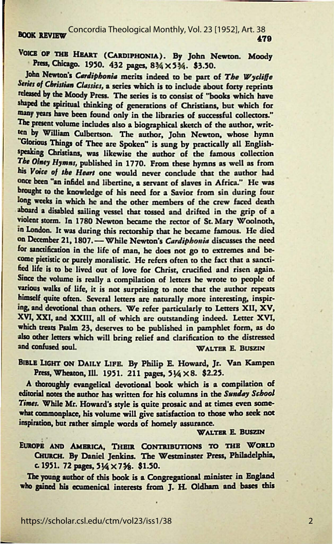BOOK REVIEW Concordia Theological Monthly, Vol. 23 [1952], Art. 38<br>**479** 

VOICE OF THE HEART (CARDIPHONIA). By John Newton. Moody Press, Chicago. 1950. 432 pages, 8¾ × 5¾. \$3.50.

John Newton's *Cardiphonia* merits indeed to be part of *The Wycliffe* Series of Christian Classics, a series which is to include about forty reprints released by the Moody Press. The series is to consist of "books which have shaped the spiritual thinking of generations of Christians, but which for many years have been found only in the libraries of successful collectors." The present volume includes also a biographical sketch of the author, written by William Culbertson. The author, John Newton, whose hymn "Glorious Things of Thee are Spoken" is sung by practically all Englishspeaking Christians, was likewise the author of the famous collection The Olney Hymns, published in 1770. From these hymns as well as from his Voice of the Heart one would never conclude that the author had **once been "an** infidel and libertine, a servant of slaves in Afria." He was **brought** ro the knowledge of his need for a Savior from sin during four **long weeks** in which he and the other members of the crew faced death **abnard a** disabled sailing vessel that tossed and drifted in the grip of a violent storm. In 1780 Newton became the rector of St. Mary Woolnoth, in London. It was during this rectorship that he became famous. He died on December 21, 1807.- While Newton's *Cardiphonia* discusses the need for sanctification in the life of man, he does not go to extremes and become pietistic or purely moralistic. He refers often to the fact that a sanctified life is ro be lived out of love for Chrisr, crucified and risen again. Since the volume is really a compilation of letters he wrote to people of various walks of life, it is not surprising to note that the author repeats himself quite often. Several letters arc naturally more interesting, inspiring, and devotional than others. We refer particularly to Letters XII, XV, XVI, XXI, and XXIII, all of which are outstanding indeed. Letter XVI, which treats Psalm 23, deserves to be published in pamphlet form, as do also other letters which will bring relief and clarification to the distressed<br>and confused soul. WALTER E. BUSZIN

BIBLE LIGHT ON DAILY LIFE. By Philip E. Howard, Jr. Van Kampen Press, Wheaton, Ill. 1951. 211 pages, 51/4 × 8. \$2.25.

A thoroughly evangelical devotional book which is a compilation of editorial notes the author has written for his columns in the Sunday School Times. While Mr. Howard's style is quite prosaic and at times even somewhar commonplace, his volume will give satisfaction to those who seek *not*  inspiration, but rather simple words of homely assurance.

#### WALTER E. BUSZIN

EUROPE AND AMERICA, THEIR CONTRIBUTIONS TO THE WORLD CHURCH. By Daniel Jenkins. The Westminster Press, Philadelphia, c. 1951. 72 pages, 51/4 × 73/8. \$1.50.

The young author of this book is a Congregational minister in England **who pined** his ecumenical interests from J. H. Oldham and bases this